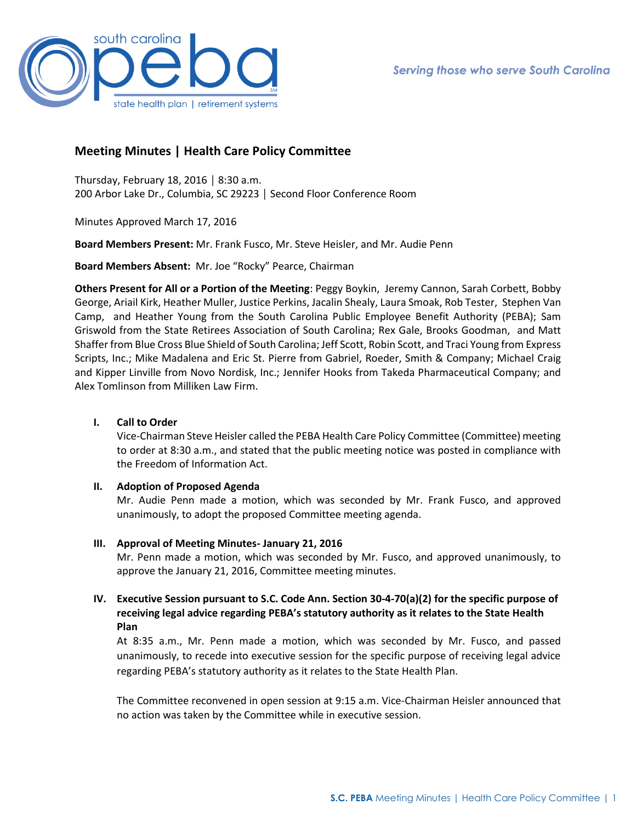

# **Meeting Minutes | Health Care Policy Committee**

Thursday, February 18, 2016 │ 8:30 a.m. 200 Arbor Lake Dr., Columbia, SC 29223 │ Second Floor Conference Room

Minutes Approved March 17, 2016

**Board Members Present:** Mr. Frank Fusco, Mr. Steve Heisler, and Mr. Audie Penn

**Board Members Absent:** Mr. Joe "Rocky" Pearce, Chairman

**Others Present for All or a Portion of the Meeting**: Peggy Boykin, Jeremy Cannon, Sarah Corbett, Bobby George, Ariail Kirk, Heather Muller, Justice Perkins, Jacalin Shealy, Laura Smoak, Rob Tester, Stephen Van Camp, and Heather Young from the South Carolina Public Employee Benefit Authority (PEBA); Sam Griswold from the State Retirees Association of South Carolina; Rex Gale, Brooks Goodman, and Matt Shaffer from Blue Cross Blue Shield of South Carolina; Jeff Scott, Robin Scott, and Traci Young from Express Scripts, Inc.; Mike Madalena and Eric St. Pierre from Gabriel, Roeder, Smith & Company; Michael Craig and Kipper Linville from Novo Nordisk, Inc.; Jennifer Hooks from Takeda Pharmaceutical Company; and Alex Tomlinson from Milliken Law Firm.

### **I. Call to Order**

Vice-Chairman Steve Heisler called the PEBA Health Care Policy Committee (Committee) meeting to order at 8:30 a.m., and stated that the public meeting notice was posted in compliance with the Freedom of Information Act.

### **II. Adoption of Proposed Agenda**

Mr. Audie Penn made a motion, which was seconded by Mr. Frank Fusco, and approved unanimously, to adopt the proposed Committee meeting agenda.

### **III. Approval of Meeting Minutes- January 21, 2016**

Mr. Penn made a motion, which was seconded by Mr. Fusco, and approved unanimously, to approve the January 21, 2016, Committee meeting minutes.

## **IV. Executive Session pursuant to S.C. Code Ann. Section 30-4-70(a)(2) for the specific purpose of receiving legal advice regarding PEBA's statutory authority as it relates to the State Health Plan**

At 8:35 a.m., Mr. Penn made a motion, which was seconded by Mr. Fusco, and passed unanimously, to recede into executive session for the specific purpose of receiving legal advice regarding PEBA's statutory authority as it relates to the State Health Plan.

The Committee reconvened in open session at 9:15 a.m. Vice-Chairman Heisler announced that no action was taken by the Committee while in executive session.